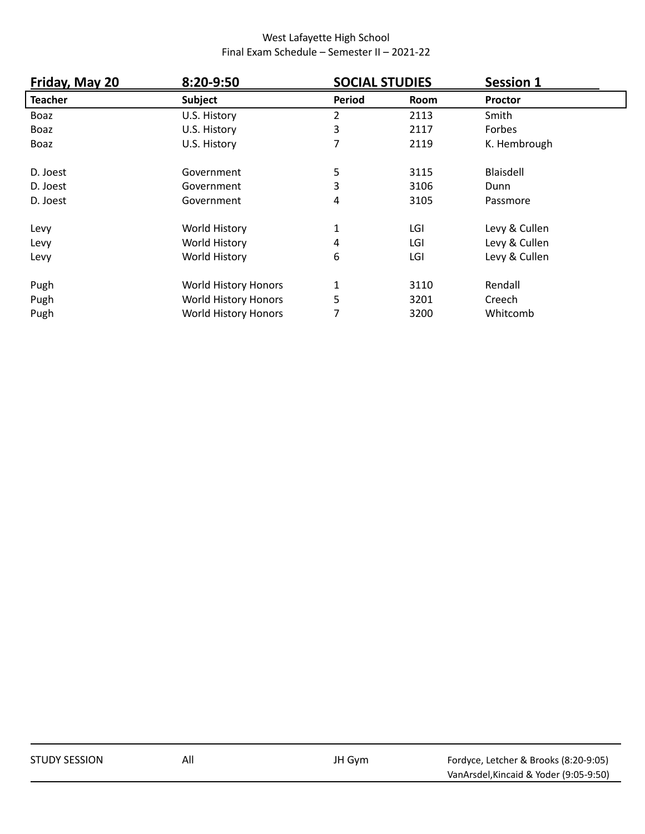| Friday, May 20 | 8:20-9:50                   | <b>SOCIAL STUDIES</b> |      | <b>Session 1</b> |
|----------------|-----------------------------|-----------------------|------|------------------|
| <b>Teacher</b> | <b>Subject</b>              | Period                | Room | <b>Proctor</b>   |
| Boaz           | U.S. History                | 2                     | 2113 | Smith            |
| Boaz           | U.S. History                | 3                     | 2117 | Forbes           |
| Boaz           | U.S. History                | 7                     | 2119 | K. Hembrough     |
| D. Joest       | Government                  | 5                     | 3115 | Blaisdell        |
| D. Joest       | Government                  | 3                     | 3106 | Dunn             |
| D. Joest       | Government                  | 4                     | 3105 | Passmore         |
| Levy           | World History               | 1                     | LGI  | Levy & Cullen    |
| Levy           | World History               | 4                     | LGI  | Levy & Cullen    |
| Levy           | World History               | 6                     | LGI  | Levy & Cullen    |
| Pugh           | World History Honors        | 1                     | 3110 | Rendall          |
| Pugh           | <b>World History Honors</b> | 5                     | 3201 | Creech           |
| Pugh           | World History Honors        | 7                     | 3200 | Whitcomb         |

| <b>STUDY SESSION</b> | All | JH Gym | Fordyce, Letcher & Brooks (8:20-9:05)  |
|----------------------|-----|--------|----------------------------------------|
|                      |     |        | VanArsdel, Kincaid & Yoder (9:05-9:50) |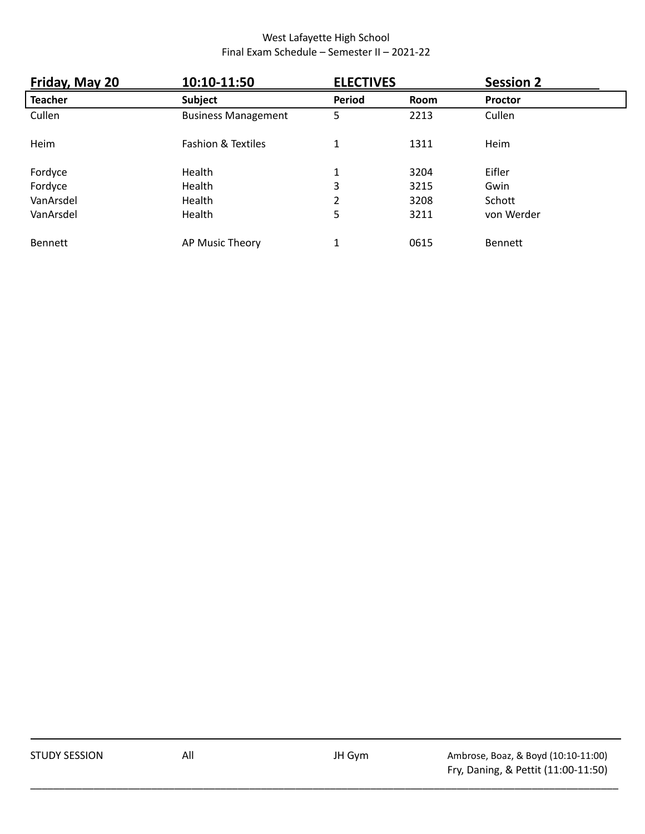| Friday, May 20 | 10:10-11:50                   | <b>ELECTIVES</b> |      | <b>Session 2</b> |
|----------------|-------------------------------|------------------|------|------------------|
| <b>Teacher</b> | <b>Subject</b>                | Period           | Room | <b>Proctor</b>   |
| Cullen         | <b>Business Management</b>    | 5                | 2213 | Cullen           |
| Heim           | <b>Fashion &amp; Textiles</b> | 1                | 1311 | Heim             |
| Fordyce        | Health                        | 1                | 3204 | Eifler           |
| Fordyce        | Health                        | 3                | 3215 | Gwin             |
| VanArsdel      | Health                        | 2                | 3208 | Schott           |
| VanArsdel      | Health                        | 5                | 3211 | von Werder       |
| <b>Bennett</b> | AP Music Theory               | 1                | 0615 | <b>Bennett</b>   |

| <b>STUDY SESSION</b> | All | JH Gym | Ambrose, Boaz, & Boyd (10:10-11:00) |
|----------------------|-----|--------|-------------------------------------|
|                      |     |        | Fry, Daning, & Pettit (11:00-11:50) |

\_\_\_\_\_\_\_\_\_\_\_\_\_\_\_\_\_\_\_\_\_\_\_\_\_\_\_\_\_\_\_\_\_\_\_\_\_\_\_\_\_\_\_\_\_\_\_\_\_\_\_\_\_\_\_\_\_\_\_\_\_\_\_\_\_\_\_\_\_\_\_\_\_\_\_\_\_\_\_\_\_\_\_\_\_\_\_\_\_\_\_\_\_\_\_\_\_\_\_\_\_\_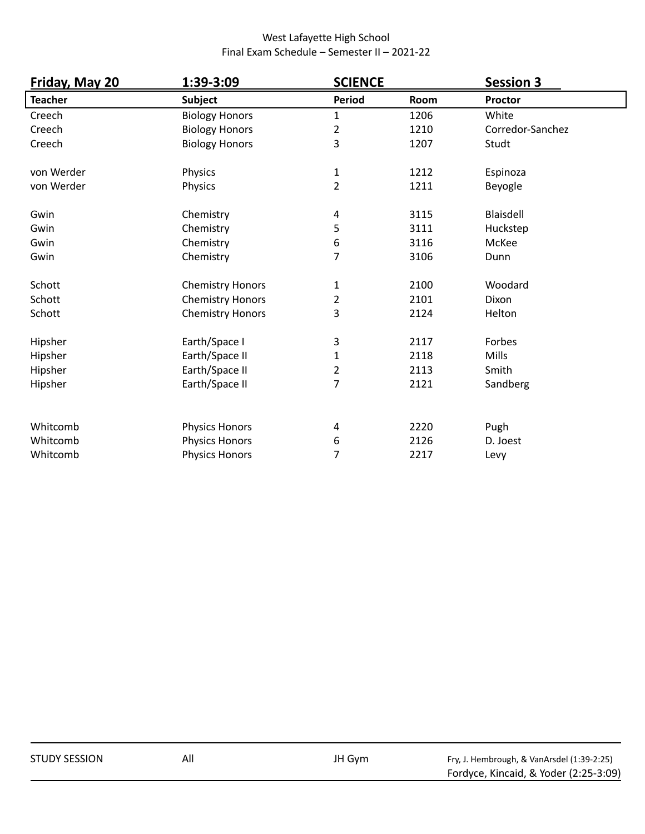| Friday, May 20 | 1:39-3:09               | <b>SCIENCE</b>          |      | <b>Session 3</b> |
|----------------|-------------------------|-------------------------|------|------------------|
| <b>Teacher</b> | <b>Subject</b>          | <b>Period</b>           | Room | <b>Proctor</b>   |
| Creech         | <b>Biology Honors</b>   | $\mathbf{1}$            | 1206 | White            |
| Creech         | <b>Biology Honors</b>   | 2                       | 1210 | Corredor-Sanchez |
| Creech         | <b>Biology Honors</b>   | 3                       | 1207 | Studt            |
| von Werder     | Physics                 | $\mathbf{1}$            | 1212 | Espinoza         |
| von Werder     | Physics                 | $\overline{2}$          | 1211 | Beyogle          |
| Gwin           | Chemistry               | 4                       | 3115 | Blaisdell        |
| Gwin           | Chemistry               | 5                       | 3111 | Huckstep         |
| Gwin           | Chemistry               | 6                       | 3116 | McKee            |
| Gwin           | Chemistry               | $\overline{7}$          | 3106 | Dunn             |
| Schott         | <b>Chemistry Honors</b> | $\mathbf{1}$            | 2100 | Woodard          |
| Schott         | <b>Chemistry Honors</b> | $\overline{2}$          | 2101 | Dixon            |
| Schott         | <b>Chemistry Honors</b> | 3                       | 2124 | Helton           |
| Hipsher        | Earth/Space I           | 3                       | 2117 | Forbes           |
| Hipsher        | Earth/Space II          | $\mathbf{1}$            | 2118 | Mills            |
| Hipsher        | Earth/Space II          | $\overline{\mathbf{c}}$ | 2113 | Smith            |
| Hipsher        | Earth/Space II          | $\overline{7}$          | 2121 | Sandberg         |
| Whitcomb       | <b>Physics Honors</b>   | 4                       | 2220 | Pugh             |
| Whitcomb       | <b>Physics Honors</b>   | 6                       | 2126 | D. Joest         |
| Whitcomb       | <b>Physics Honors</b>   | $\overline{7}$          | 2217 | Levy             |

| <b>STUDY SESSION</b> | All | JH Gvm | Fry, J. Hembrough, & VanArsdel (1:39-2:25) |
|----------------------|-----|--------|--------------------------------------------|
|                      |     |        | Fordyce, Kincaid, & Yoder (2:25-3:09)      |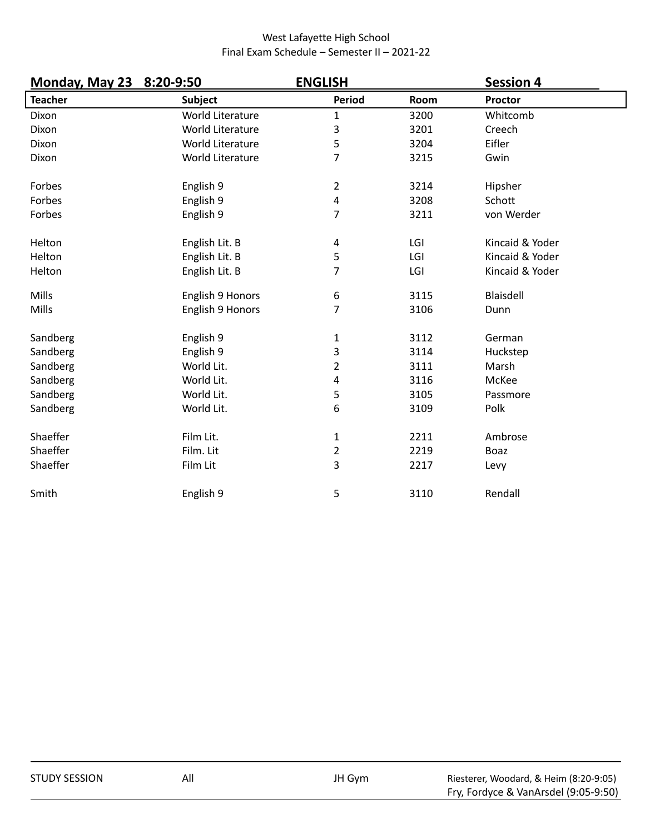| Monday, May 23 8:20-9:50 |                  | <b>ENGLISH</b>          |      | <b>Session 4</b> |  |
|--------------------------|------------------|-------------------------|------|------------------|--|
| <b>Teacher</b>           | <b>Subject</b>   | <b>Period</b>           | Room | <b>Proctor</b>   |  |
| Dixon                    | World Literature | 1                       | 3200 | Whitcomb         |  |
| Dixon                    | World Literature | 3                       | 3201 | Creech           |  |
| Dixon                    | World Literature | 5                       | 3204 | Eifler           |  |
| Dixon                    | World Literature | $\overline{7}$          | 3215 | Gwin             |  |
| Forbes                   | English 9        | 2                       | 3214 | Hipsher          |  |
| Forbes                   | English 9        | 4                       | 3208 | Schott           |  |
| Forbes                   | English 9        | 7                       | 3211 | von Werder       |  |
| Helton                   | English Lit. B   | 4                       | LGI  | Kincaid & Yoder  |  |
| Helton                   | English Lit. B   | 5                       | LGI  | Kincaid & Yoder  |  |
| Helton                   | English Lit. B   | 7                       | LGI  | Kincaid & Yoder  |  |
| Mills                    | English 9 Honors | 6                       | 3115 | Blaisdell        |  |
| Mills                    | English 9 Honors | 7                       | 3106 | Dunn             |  |
| Sandberg                 | English 9        | $\mathbf 1$             | 3112 | German           |  |
| Sandberg                 | English 9        | 3                       | 3114 | Huckstep         |  |
| Sandberg                 | World Lit.       | $\overline{2}$          | 3111 | Marsh            |  |
| Sandberg                 | World Lit.       | 4                       | 3116 | McKee            |  |
| Sandberg                 | World Lit.       | 5                       | 3105 | Passmore         |  |
| Sandberg                 | World Lit.       | 6                       | 3109 | Polk             |  |
| Shaeffer                 | Film Lit.        | $\mathbf{1}$            | 2211 | Ambrose          |  |
| Shaeffer                 | Film. Lit        | $\overline{\mathbf{c}}$ | 2219 | Boaz             |  |
| Shaeffer                 | Film Lit         | 3                       | 2217 | Levy             |  |
| Smith                    | English 9        | 5                       | 3110 | Rendall          |  |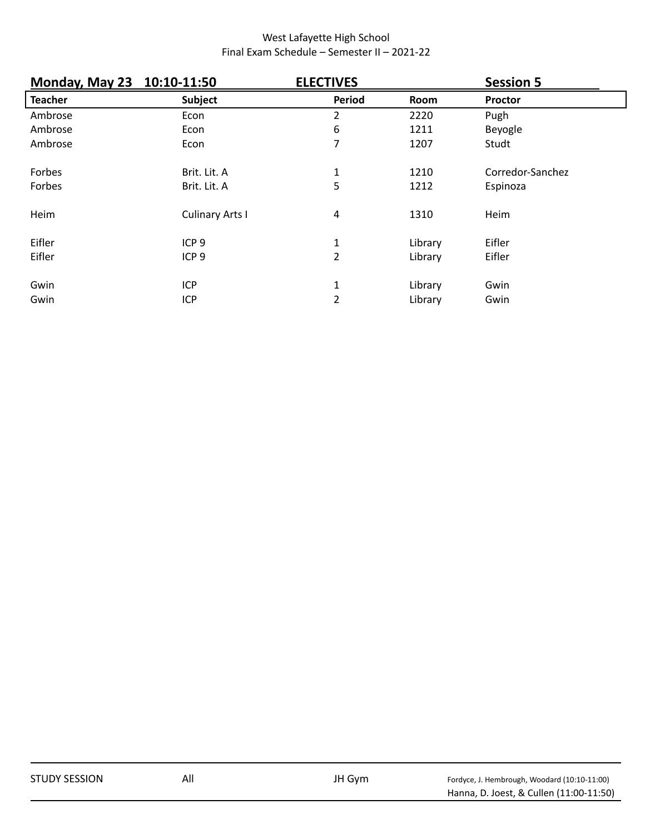| Monday, May 23 10:10-11:50 |                        | <b>ELECTIVES</b> |         | <b>Session 5</b> |  |
|----------------------------|------------------------|------------------|---------|------------------|--|
| <b>Teacher</b>             | Subject                | Period           | Room    | <b>Proctor</b>   |  |
| Ambrose                    | Econ                   | 2                | 2220    | Pugh             |  |
| Ambrose                    | Econ                   | 6                | 1211    | Beyogle          |  |
| Ambrose                    | Econ                   | 7                | 1207    | Studt            |  |
| Forbes                     | Brit. Lit. A           | $\mathbf{1}$     | 1210    | Corredor-Sanchez |  |
| Forbes                     | Brit. Lit. A           | 5                | 1212    | Espinoza         |  |
| Heim                       | <b>Culinary Arts I</b> | 4                | 1310    | Heim             |  |
| Eifler                     | ICP <sub>9</sub>       | 1                | Library | Eifler           |  |
| Eifler                     | ICP <sub>9</sub>       | $\overline{2}$   | Library | Eifler           |  |
| Gwin                       | ICP                    | $\mathbf{1}$     | Library | Gwin             |  |
| Gwin                       | <b>ICP</b>             | $\overline{2}$   | Library | Gwin             |  |

| <b>STUDY SESSION</b> | All | JH Gym |                                              |
|----------------------|-----|--------|----------------------------------------------|
|                      |     |        | Fordyce, J. Hembrough, Woodard (10:10-11:00) |
|                      |     |        | Hanna, D. Joest, & Cullen (11:00-11:50)      |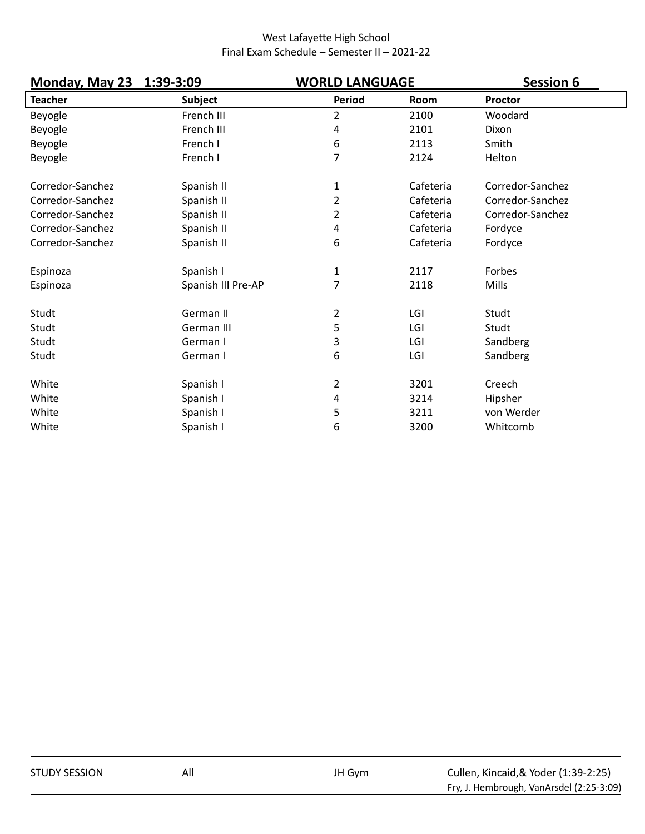| <b>Monday, May 23</b> | 1:39-3:09          | <b>WORLD LANGUAGE</b> |             | <b>Session 6</b> |
|-----------------------|--------------------|-----------------------|-------------|------------------|
| <b>Teacher</b>        | <b>Subject</b>     | Period                | <b>Room</b> | Proctor          |
| Beyogle               | French III         | $\overline{2}$        | 2100        | Woodard          |
| Beyogle               | French III         | 4                     | 2101        | Dixon            |
| Beyogle               | French I           | 6                     | 2113        | Smith            |
| Beyogle               | French I           | $\overline{7}$        | 2124        | Helton           |
| Corredor-Sanchez      | Spanish II         | 1                     | Cafeteria   | Corredor-Sanchez |
| Corredor-Sanchez      | Spanish II         | 2                     | Cafeteria   | Corredor-Sanchez |
| Corredor-Sanchez      | Spanish II         | $\overline{2}$        | Cafeteria   | Corredor-Sanchez |
| Corredor-Sanchez      | Spanish II         | 4                     | Cafeteria   | Fordyce          |
| Corredor-Sanchez      | Spanish II         | 6                     | Cafeteria   | Fordyce          |
| Espinoza              | Spanish I          | $\mathbf{1}$          | 2117        | Forbes           |
| Espinoza              | Spanish III Pre-AP | 7                     | 2118        | Mills            |
| Studt                 | German II          | 2                     | LGI         | Studt            |
| Studt                 | German III         | 5                     | LGI         | Studt            |
| Studt                 | German I           | 3                     | LGI         | Sandberg         |
| Studt                 | German I           | 6                     | LGI         | Sandberg         |
| White                 | Spanish I          | 2                     | 3201        | Creech           |
| White                 | Spanish I          | 4                     | 3214        | Hipsher          |
| White                 | Spanish I          | 5                     | 3211        | von Werder       |
| White                 | Spanish I          | 6                     | 3200        | Whitcomb         |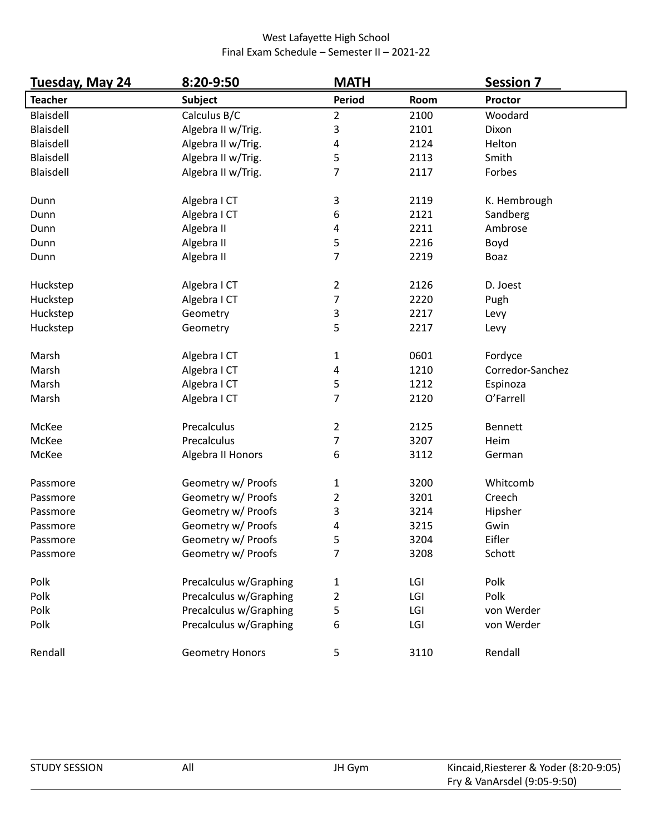| Tuesday, May 24 | 8:20-9:50              | <b>MATH</b>              |      | <b>Session 7</b> |
|-----------------|------------------------|--------------------------|------|------------------|
| <b>Teacher</b>  | <b>Subject</b>         | <b>Period</b>            | Room | <b>Proctor</b>   |
| Blaisdell       | Calculus B/C           | $\overline{2}$           | 2100 | Woodard          |
| Blaisdell       | Algebra II w/Trig.     | 3                        | 2101 | Dixon            |
| Blaisdell       | Algebra II w/Trig.     | 4                        | 2124 | Helton           |
| Blaisdell       | Algebra II w/Trig.     | 5                        | 2113 | Smith            |
| Blaisdell       | Algebra II w/Trig.     | 7                        | 2117 | Forbes           |
| Dunn            | Algebra I CT           | 3                        | 2119 | K. Hembrough     |
| Dunn            | Algebra I CT           | 6                        | 2121 | Sandberg         |
| Dunn            | Algebra II             | 4                        | 2211 | Ambrose          |
| Dunn            | Algebra II             | 5                        | 2216 | Boyd             |
| Dunn            | Algebra II             | $\overline{7}$           | 2219 | Boaz             |
| Huckstep        | Algebra I CT           | $\overline{2}$           | 2126 | D. Joest         |
| Huckstep        | Algebra I CT           | $\overline{\mathcal{I}}$ | 2220 | Pugh             |
| Huckstep        | Geometry               | 3                        | 2217 | Levy             |
| Huckstep        | Geometry               | 5                        | 2217 | Levy             |
| Marsh           | Algebra I CT           | $\mathbf{1}$             | 0601 | Fordyce          |
| Marsh           | Algebra I CT           | 4                        | 1210 | Corredor-Sanchez |
| Marsh           | Algebra I CT           | 5                        | 1212 | Espinoza         |
| Marsh           | Algebra I CT           | 7                        | 2120 | O'Farrell        |
| McKee           | Precalculus            | $\overline{2}$           | 2125 | <b>Bennett</b>   |
| McKee           | Precalculus            | 7                        | 3207 | Heim             |
| McKee           | Algebra II Honors      | 6                        | 3112 | German           |
| Passmore        | Geometry w/ Proofs     | 1                        | 3200 | Whitcomb         |
| Passmore        | Geometry w/ Proofs     | 2                        | 3201 | Creech           |
| Passmore        | Geometry w/ Proofs     | 3                        | 3214 | Hipsher          |
| Passmore        | Geometry w/ Proofs     | 4                        | 3215 | Gwin             |
| Passmore        | Geometry w/ Proofs     | 5                        | 3204 | Eifler           |
| Passmore        | Geometry w/ Proofs     | 7                        | 3208 | Schott           |
| Polk            | Precalculus w/Graphing | 1                        | LGI  | Polk             |
| Polk            | Precalculus w/Graphing | $\overline{2}$           | LGI  | Polk             |
| Polk            | Precalculus w/Graphing | 5                        | LGI  | von Werder       |
| Polk            | Precalculus w/Graphing | 6                        | LGI  | von Werder       |
| Rendall         | <b>Geometry Honors</b> | $\mathsf S$              | 3110 | Rendall          |

| <b>STUDY SESSION</b> | All | JH Gym | Kincaid, Riesterer & Yoder (8:20-9:05) |
|----------------------|-----|--------|----------------------------------------|
|                      |     |        | Fry & VanArsdel (9:05-9:50)            |